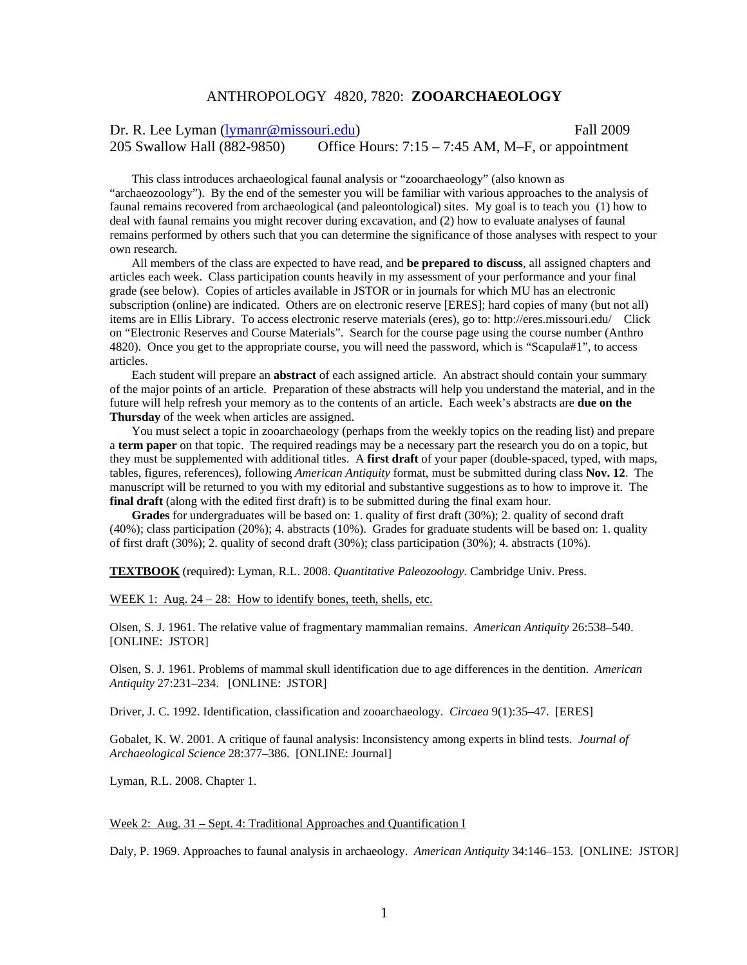# ANTHROPOLOGY 4820, 7820: **ZOOARCHAEOLOGY**

Dr. R. Lee Lyman (lymanr@missouri.edu) Fall 2009 205 Swallow Hall (882-9850) Office Hours: 7:15 – 7:45 AM, M–F, or appointment

This class introduces archaeological faunal analysis or "zooarchaeology" (also known as "archaeozoology"). By the end of the semester you will be familiar with various approaches to the analysis of faunal remains recovered from archaeological (and paleontological) sites. My goal is to teach you (1) how to deal with faunal remains you might recover during excavation, and (2) how to evaluate analyses of faunal remains performed by others such that you can determine the significance of those analyses with respect to your own research.

All members of the class are expected to have read, and **be prepared to discuss**, all assigned chapters and articles each week. Class participation counts heavily in my assessment of your performance and your final grade (see below). Copies of articles available in JSTOR or in journals for which MU has an electronic subscription (online) are indicated. Others are on electronic reserve [ERES]; hard copies of many (but not all) items are in Ellis Library. To access electronic reserve materials (eres), go to: http://eres.missouri.edu/ Click on "Electronic Reserves and Course Materials". Search for the course page using the course number (Anthro 4820). Once you get to the appropriate course, you will need the password, which is "Scapula#1", to access articles.

Each student will prepare an **abstract** of each assigned article. An abstract should contain your summary of the major points of an article. Preparation of these abstracts will help you understand the material, and in the future will help refresh your memory as to the contents of an article. Each week's abstracts are **due on the Thursday** of the week when articles are assigned.

You must select a topic in zooarchaeology (perhaps from the weekly topics on the reading list) and prepare a **term paper** on that topic. The required readings may be a necessary part the research you do on a topic, but they must be supplemented with additional titles. A **first draft** of your paper (double-spaced, typed, with maps, tables, figures, references), following *American Antiquity* format, must be submitted during class **Nov. 12**. The manuscript will be returned to you with my editorial and substantive suggestions as to how to improve it. The **final draft** (along with the edited first draft) is to be submitted during the final exam hour.

**Grades** for undergraduates will be based on: 1. quality of first draft (30%); 2. quality of second draft (40%); class participation (20%); 4. abstracts (10%). Grades for graduate students will be based on: 1. quality of first draft (30%); 2. quality of second draft (30%); class participation (30%); 4. abstracts (10%).

**TEXTBOOK** (required): Lyman, R.L. 2008. *Quantitative Paleozoology.* Cambridge Univ. Press.

WEEK 1: Aug. 24 – 28: How to identify bones, teeth, shells, etc.

Olsen, S. J. 1961. The relative value of fragmentary mammalian remains. *American Antiquity* 26:538–540. [ONLINE: JSTOR]

Olsen, S. J. 1961. Problems of mammal skull identification due to age differences in the dentition. *American Antiquity* 27:231–234. [ONLINE: JSTOR]

Driver, J. C. 1992. Identification, classification and zooarchaeology. *Circaea* 9(1):35–47. [ERES]

Gobalet, K. W. 2001. A critique of faunal analysis: Inconsistency among experts in blind tests. *Journal of Archaeological Science* 28:377–386. [ONLINE: Journal]

Lyman, R.L. 2008. Chapter 1.

Week 2: Aug. 31 – Sept. 4: Traditional Approaches and Quantification I

Daly, P. 1969. Approaches to faunal analysis in archaeology. *American Antiquity* 34:146–153. [ONLINE: JSTOR]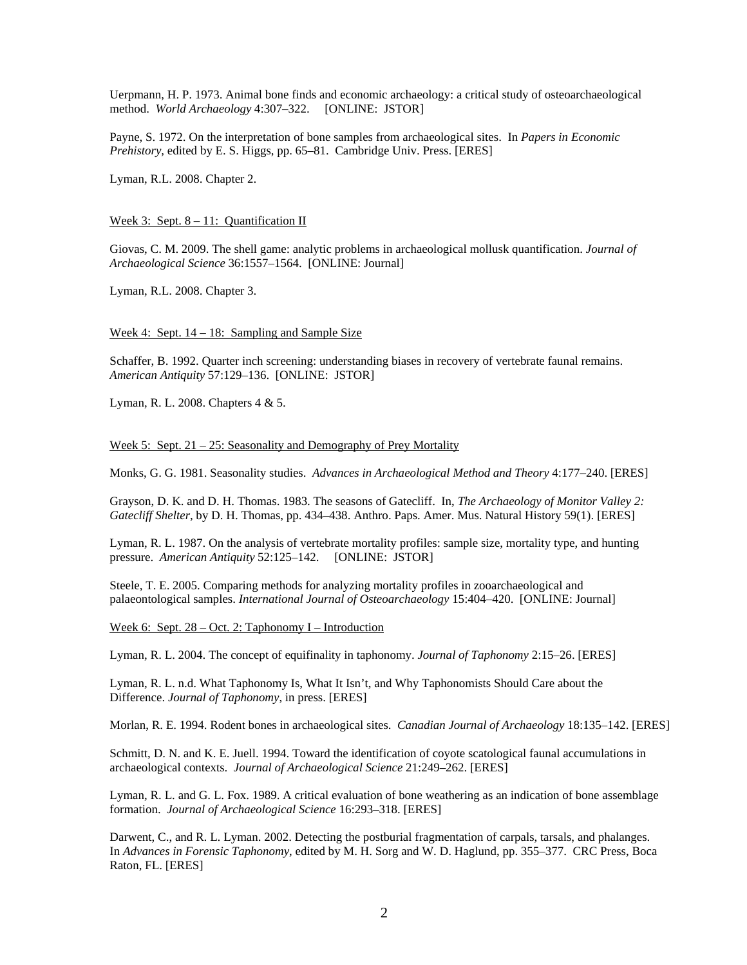Uerpmann, H. P. 1973. Animal bone finds and economic archaeology: a critical study of osteoarchaeological method. *World Archaeology* 4:307–322. [ONLINE: JSTOR]

Payne, S. 1972. On the interpretation of bone samples from archaeological sites. In *Papers in Economic Prehistory,* edited by E. S. Higgs, pp. 65–81. Cambridge Univ. Press. [ERES]

Lyman, R.L. 2008. Chapter 2.

# Week 3: Sept. 8 – 11: Quantification II

Giovas, C. M. 2009. The shell game: analytic problems in archaeological mollusk quantification. *Journal of Archaeological Science* 36:1557–1564. [ONLINE: Journal]

Lyman, R.L. 2008. Chapter 3.

### Week 4: Sept. 14 – 18: Sampling and Sample Size

Schaffer, B. 1992. Quarter inch screening: understanding biases in recovery of vertebrate faunal remains. *American Antiquity* 57:129–136. [ONLINE: JSTOR]

Lyman, R. L. 2008. Chapters 4 & 5.

### Week 5: Sept. 21 – 25: Seasonality and Demography of Prey Mortality

Monks, G. G. 1981. Seasonality studies. *Advances in Archaeological Method and Theory* 4:177–240. [ERES]

Grayson, D. K. and D. H. Thomas. 1983. The seasons of Gatecliff. In, *The Archaeology of Monitor Valley 2: Gatecliff Shelter*, by D. H. Thomas, pp. 434–438. Anthro. Paps. Amer. Mus. Natural History 59(1). [ERES]

Lyman, R. L. 1987. On the analysis of vertebrate mortality profiles: sample size, mortality type, and hunting pressure. *American Antiquity* 52:125–142. [ONLINE: JSTOR]

Steele, T. E. 2005. Comparing methods for analyzing mortality profiles in zooarchaeological and palaeontological samples. *International Journal of Osteoarchaeology* 15:404–420. [ONLINE: Journal]

Week 6: Sept. 28 – Oct. 2: Taphonomy I – Introduction

Lyman, R. L. 2004. The concept of equifinality in taphonomy. *Journal of Taphonomy* 2:15–26. [ERES]

Lyman, R. L. n.d. What Taphonomy Is, What It Isn't, and Why Taphonomists Should Care about the Difference. *Journal of Taphonomy*, in press. [ERES]

Morlan, R. E. 1994. Rodent bones in archaeological sites. *Canadian Journal of Archaeology* 18:135–142. [ERES]

Schmitt, D. N. and K. E. Juell. 1994. Toward the identification of coyote scatological faunal accumulations in archaeological contexts. *Journal of Archaeological Science* 21:249–262. [ERES]

Lyman, R. L. and G. L. Fox. 1989. A critical evaluation of bone weathering as an indication of bone assemblage formation. *Journal of Archaeological Science* 16:293–318. [ERES]

Darwent, C., and R. L. Lyman. 2002. Detecting the postburial fragmentation of carpals, tarsals, and phalanges. In *Advances in Forensic Taphonomy*, edited by M. H. Sorg and W. D. Haglund, pp. 355–377. CRC Press, Boca Raton, FL. [ERES]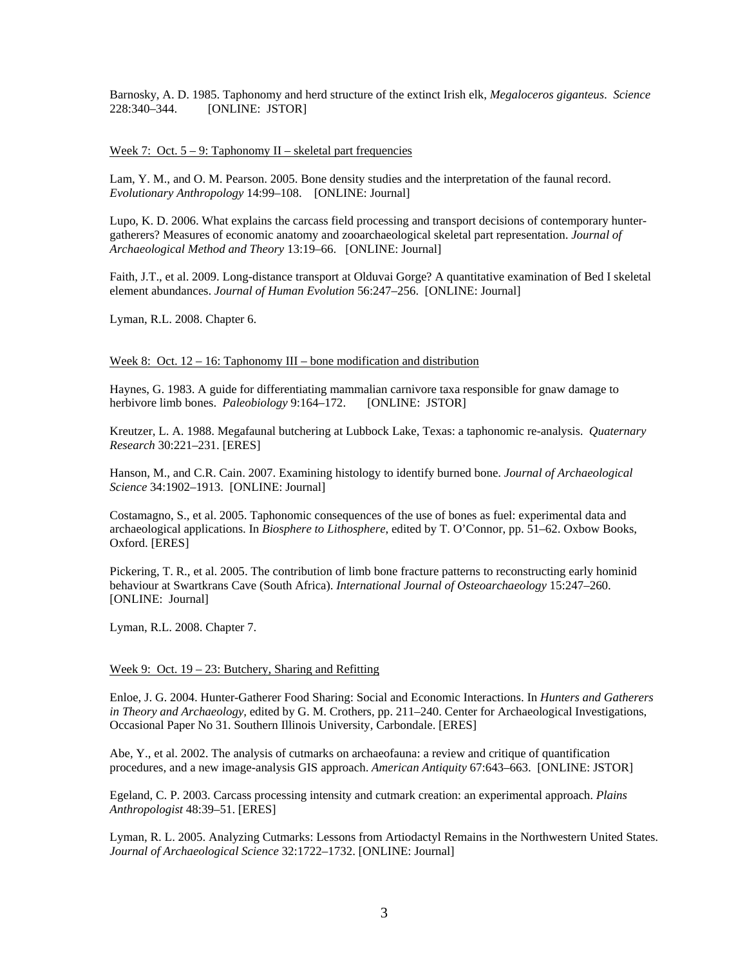Barnosky, A. D. 1985. Taphonomy and herd structure of the extinct Irish elk, *Megaloceros giganteus*. *Science* 228:340–344. [ONLINE: JSTOR]

Week 7: Oct.  $5 - 9$ : Taphonomy II – skeletal part frequencies

Lam, Y. M., and O. M. Pearson. 2005. Bone density studies and the interpretation of the faunal record. *Evolutionary Anthropology* 14:99–108. [ONLINE: Journal]

Lupo, K. D. 2006. What explains the carcass field processing and transport decisions of contemporary huntergatherers? Measures of economic anatomy and zooarchaeological skeletal part representation. *Journal of Archaeological Method and Theory* 13:19–66. [ONLINE: Journal]

Faith, J.T., et al. 2009. Long-distance transport at Olduvai Gorge? A quantitative examination of Bed I skeletal element abundances. *Journal of Human Evolution* 56:247–256. [ONLINE: Journal]

Lyman, R.L. 2008. Chapter 6.

# Week 8: Oct.  $12 - 16$ : Taphonomy III – bone modification and distribution

Haynes, G. 1983. A guide for differentiating mammalian carnivore taxa responsible for gnaw damage to herbivore limb bones. *Paleobiology* 9:164–172. [ONLINE: JSTOR]

Kreutzer, L. A. 1988. Megafaunal butchering at Lubbock Lake, Texas: a taphonomic re-analysis. *Quaternary Research* 30:221–231. [ERES]

Hanson, M., and C.R. Cain. 2007. Examining histology to identify burned bone. *Journal of Archaeological Science* 34:1902–1913. [ONLINE: Journal]

Costamagno, S., et al. 2005. Taphonomic consequences of the use of bones as fuel: experimental data and archaeological applications. In *Biosphere to Lithosphere*, edited by T. O'Connor, pp. 51–62. Oxbow Books, Oxford. [ERES]

Pickering, T. R., et al. 2005. The contribution of limb bone fracture patterns to reconstructing early hominid behaviour at Swartkrans Cave (South Africa). *International Journal of Osteoarchaeology* 15:247–260. [ONLINE: Journal]

Lyman, R.L. 2008. Chapter 7.

# Week 9: Oct. 19 – 23: Butchery, Sharing and Refitting

Enloe, J. G. 2004. Hunter-Gatherer Food Sharing: Social and Economic Interactions. In *Hunters and Gatherers in Theory and Archaeology,* edited by G. M. Crothers, pp. 211–240. Center for Archaeological Investigations, Occasional Paper No 31. Southern Illinois University, Carbondale. [ERES]

Abe, Y., et al. 2002. The analysis of cutmarks on archaeofauna: a review and critique of quantification procedures, and a new image-analysis GIS approach. *American Antiquity* 67:643–663. [ONLINE: JSTOR]

Egeland, C. P. 2003. Carcass processing intensity and cutmark creation: an experimental approach. *Plains Anthropologist* 48:39–51. [ERES]

Lyman, R. L. 2005. Analyzing Cutmarks: Lessons from Artiodactyl Remains in the Northwestern United States. *Journal of Archaeological Science* 32:1722–1732. [ONLINE: Journal]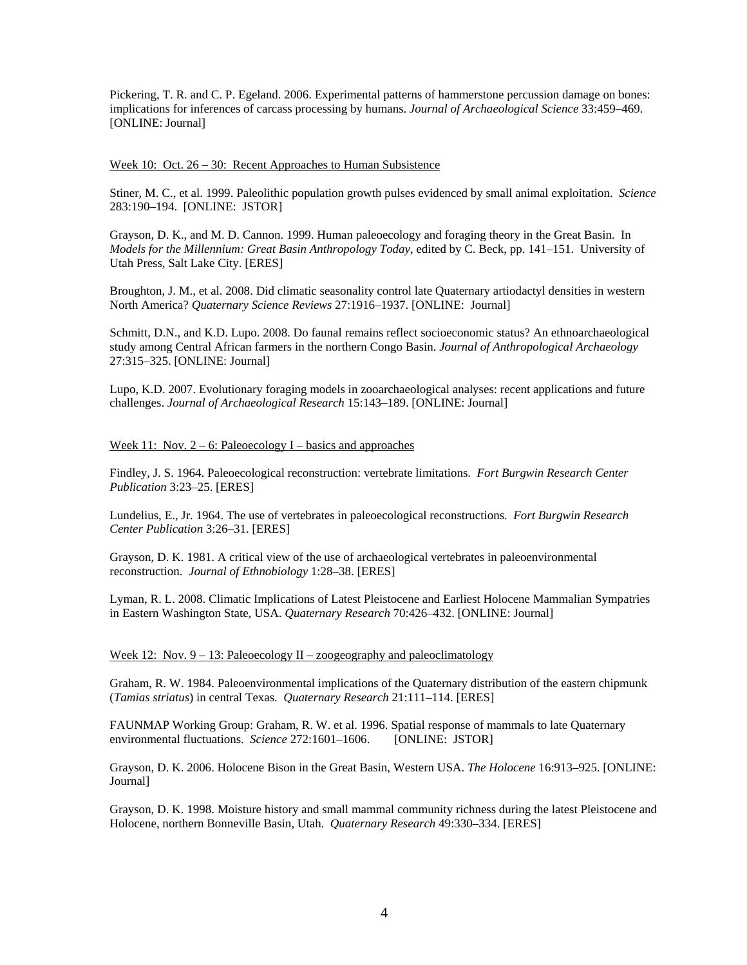Pickering, T. R. and C. P. Egeland. 2006. Experimental patterns of hammerstone percussion damage on bones: implications for inferences of carcass processing by humans. *Journal of Archaeological Science* 33:459–469. [ONLINE: Journal]

Week 10: Oct. 26 – 30: Recent Approaches to Human Subsistence

Stiner, M. C., et al. 1999. Paleolithic population growth pulses evidenced by small animal exploitation. *Science* 283:190–194. [ONLINE: JSTOR]

Grayson, D. K., and M. D. Cannon. 1999. Human paleoecology and foraging theory in the Great Basin. In *Models for the Millennium: Great Basin Anthropology Today*, edited by C. Beck, pp. 141–151. University of Utah Press, Salt Lake City. [ERES]

Broughton, J. M., et al. 2008. Did climatic seasonality control late Quaternary artiodactyl densities in western North America? *Quaternary Science Reviews* 27:1916–1937. [ONLINE: Journal]

Schmitt, D.N., and K.D. Lupo. 2008. Do faunal remains reflect socioeconomic status? An ethnoarchaeological study among Central African farmers in the northern Congo Basin. *Journal of Anthropological Archaeology* 27:315–325. [ONLINE: Journal]

Lupo, K.D. 2007. Evolutionary foraging models in zooarchaeological analyses: recent applications and future challenges. *Journal of Archaeological Research* 15:143–189. [ONLINE: Journal]

Week 11: Nov.  $2 - 6$ : Paleoecology I – basics and approaches

Findley, J. S. 1964. Paleoecological reconstruction: vertebrate limitations. *Fort Burgwin Research Center Publication* 3:23–25. [ERES]

Lundelius, E., Jr. 1964. The use of vertebrates in paleoecological reconstructions. *Fort Burgwin Research Center Publication* 3:26–31. [ERES]

Grayson, D. K. 1981. A critical view of the use of archaeological vertebrates in paleoenvironmental reconstruction. *Journal of Ethnobiology* 1:28–38. [ERES]

Lyman, R. L. 2008. Climatic Implications of Latest Pleistocene and Earliest Holocene Mammalian Sympatries in Eastern Washington State, USA. *Quaternary Research* 70:426–432. [ONLINE: Journal]

# Week 12: Nov.  $9 - 13$ : Paleoecology II – zoogeography and paleoclimatology

Graham, R. W. 1984. Paleoenvironmental implications of the Quaternary distribution of the eastern chipmunk (*Tamias striatus*) in central Texas. *Quaternary Research* 21:111–114. [ERES]

FAUNMAP Working Group: Graham, R. W. et al. 1996. Spatial response of mammals to late Quaternary environmental fluctuations. *Science* 272:1601–1606. [ONLINE: JSTOR]

Grayson, D. K. 2006. Holocene Bison in the Great Basin, Western USA. *The Holocene* 16:913–925. [ONLINE: Journal]

Grayson, D. K. 1998. Moisture history and small mammal community richness during the latest Pleistocene and Holocene, northern Bonneville Basin, Utah. *Quaternary Research* 49:330–334. [ERES]